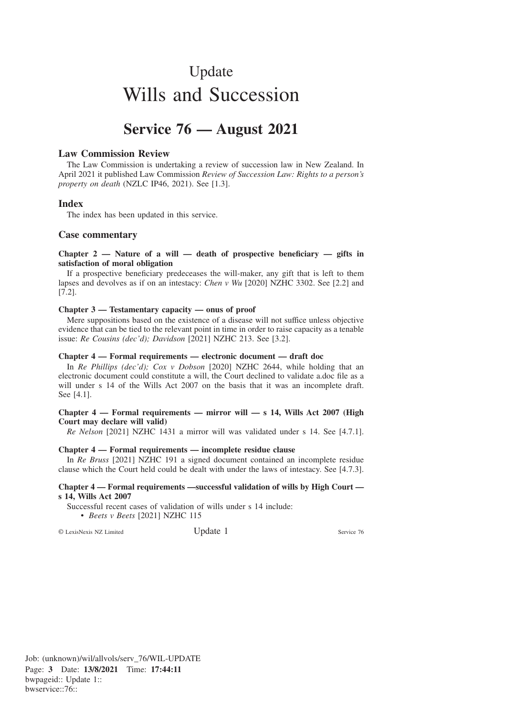# Update Wills and Succession

# **Service 76 — August 2021**

# **Law Commission Review**

The Law Commission is undertaking a review of succession law in New Zealand. In April 2021 it published Law Commission *Review of Succession Law: Rights to a person's property on death* (NZLC IP46, 2021). See [1.3].

# **Index**

The index has been updated in this service.

# **Case commentary**

# **Chapter 2 — Nature of a will — death of prospective beneficiary — gifts in satisfaction of moral obligation**

If a prospective beneficiary predeceases the will-maker, any gift that is left to them lapses and devolves as if on an intestacy: *Chen v Wu* [2020] NZHC 3302. See [2.2] and [7.2].

#### **Chapter 3 — Testamentary capacity — onus of proof**

Mere suppositions based on the existence of a disease will not suffice unless objective evidence that can be tied to the relevant point in time in order to raise capacity as a tenable issue: *Re Cousins (dec'd); Davidson* [2021] NZHC 213. See [3.2].

#### **Chapter 4 — Formal requirements — electronic document — draft doc**

In *Re Phillips (dec'd); Cox v Dobson* [2020] NZHC 2644, while holding that an electronic document could constitute a will, the Court declined to validate a.doc file as a will under s 14 of the Wills Act 2007 on the basis that it was an incomplete draft. See [4.1].

#### **Chapter 4 — Formal requirements — mirror will — s 14, Wills Act 2007 (High Court may declare will valid)**

*Re Nelson* [2021] NZHC 1431 a mirror will was validated under s 14. See [4.7.1].

# **Chapter 4 — Formal requirements — incomplete residue clause**

In *Re Bruss* [2021] NZHC 191 a signed document contained an incomplete residue clause which the Court held could be dealt with under the laws of intestacy. See [4.7.3].

#### **Chapter 4 — Formal requirements —successful validation of wills by High Court s 14, Wills Act 2007**

Successful recent cases of validation of wills under s 14 include: • *Beets v Beets* [2021] NZHC 115

© LexisNexis NZ Limited Update 1 Service 76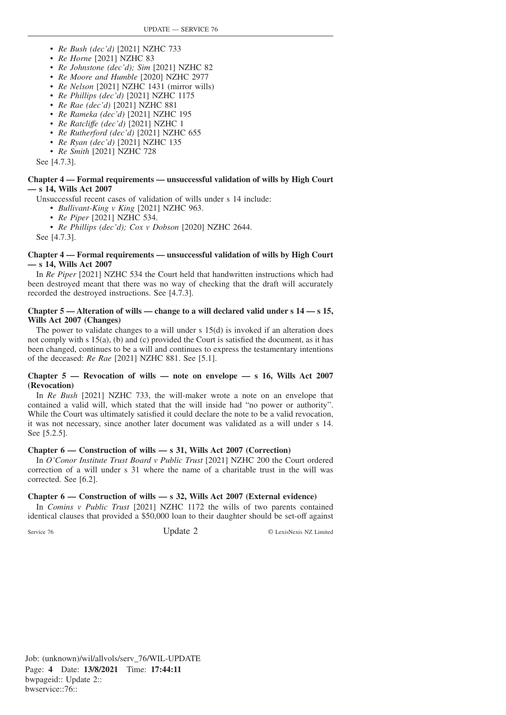- *Re Bush (dec'd)* [2021] NZHC 733
- *Re Horne* [2021] NZHC 83
- *Re Johnstone (dec'd); Sim* [2021] NZHC 82
- *Re Moore and Humble* [2020] NZHC 2977
- *Re Nelson* [2021] NZHC 1431 (mirror wills)
- *Re Phillips (dec'd)* [2021] NZHC 1175
- *Re Rae (dec'd)* [2021] NZHC 881
- *Re Rameka (dec'd)* [2021] NZHC 195
- *Re Ratcliffe (dec'd)* [2021] NZHC 1
- *Re Rutherford (dec'd)* [2021] NZHC 655
- *Re Ryan (dec'd)* [2021] NZHC 135
- *Re Smith* [2021] NZHC 728

See [4.7.3].

#### **Chapter 4 — Formal requirements — unsuccessful validation of wills by High Court — s 14, Wills Act 2007**

Unsuccessful recent cases of validation of wills under s 14 include:

• *Bullivant-King v King* [2021] NZHC 963.

- *Re Piper* [2021] NZHC 534.
- *Re Phillips (dec'd); Cox v Dobson* [2020] NZHC 2644.

See [4.7.3].

# **Chapter 4 — Formal requirements — unsuccessful validation of wills by High Court — s 14, Wills Act 2007**

In *Re Piper* [2021] NZHC 534 the Court held that handwritten instructions which had been destroyed meant that there was no way of checking that the draft will accurately recorded the destroyed instructions. See [4.7.3].

# **Chapter 5 — Alteration of wills — change to a will declared valid under s 14 — s 15, Wills Act 2007 (Changes)**

The power to validate changes to a will under s 15(d) is invoked if an alteration does not comply with s 15(a), (b) and (c) provided the Court is satisfied the document, as it has been changed, continues to be a will and continues to express the testamentary intentions of the deceased: *Re Rae* [2021] NZHC 881. See [5.1].

# **Chapter 5 — Revocation of wills — note on envelope — s 16, Wills Act 2007 (Revocation)**

In *Re Bush* [2021] NZHC 733, the will-maker wrote a note on an envelope that contained a valid will, which stated that the will inside had "no power or authority". While the Court was ultimately satisfied it could declare the note to be a valid revocation, it was not necessary, since another later document was validated as a will under s 14. See [5.2.5].

# **Chapter 6 — Construction of wills — s 31, Wills Act 2007 (Correction)**

In *O'Conor Institute Trust Board v Public Trust* [2021] NZHC 200 the Court ordered correction of a will under s 31 where the name of a charitable trust in the will was corrected. See [6.2].

# **Chapter 6 — Construction of wills — s 32, Wills Act 2007 (External evidence)**

In *Comins v Public Trust* [2021] NZHC 1172 the wills of two parents contained identical clauses that provided a \$50,000 loan to their daughter should be set-off against